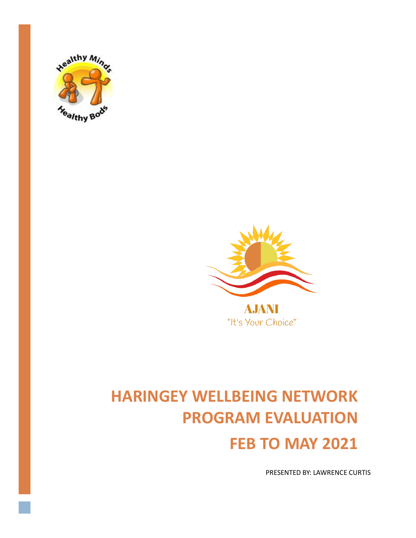



"It's Your Choice"

# **HARINGEY WELLBEING NETWORK PROGRAM EVALUATION FEB TO MAY 2021**

**PRESENTED BY: LAWRENCE CURTIS**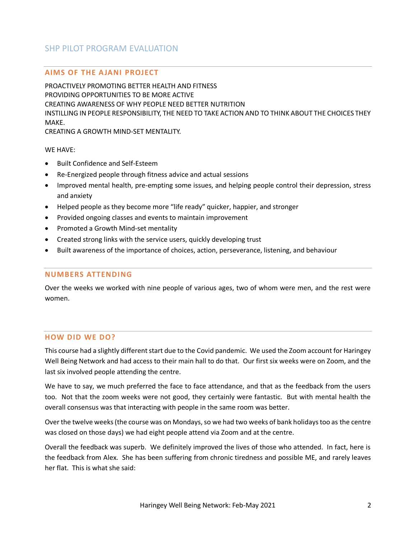# SHP PILOT PROGRAM EVALUATION

### **AIMS OF THE A JANI PROJECT**

PROACTIVELY PROMOTING BETTER HEALTH AND FITNESS PROVIDING OPPORTUNITIES TO BE MORE ACTIVE CREATING AWARENESS OF WHY PEOPLE NEED BETTER NUTRITION INSTILLING IN PEOPLE RESPONSIBILITY, THE NEED TO TAKE ACTION AND TO THINK ABOUT THE CHOICES THEY MAKE. CREATING A GROWTH MIND-SET MENTALITY.

WE HAVE:

- Built Confidence and Self-Esteem
- Re-Energized people through fitness advice and actual sessions
- Improved mental health, pre-empting some issues, and helping people control their depression, stress and anxiety
- Helped people as they become more "life ready" quicker, happier, and stronger
- Provided ongoing classes and events to maintain improvement
- Promoted a Growth Mind-set mentality
- Created strong links with the service users, quickly developing trust
- Built awareness of the importance of choices, action, perseverance, listening, and behaviour

#### **NUMBERS ATTENDING**

Over the weeks we worked with nine people of various ages, two of whom were men, and the rest were women.

#### **HOW DID WE DO?**

This course had a slightly different start due to the Covid pandemic. We used the Zoom account for Haringey Well Being Network and had access to their main hall to do that. Our first six weeks were on Zoom, and the last six involved people attending the centre.

We have to say, we much preferred the face to face attendance, and that as the feedback from the users too. Not that the zoom weeks were not good, they certainly were fantastic. But with mental health the overall consensus was that interacting with people in the same room was better.

Over the twelve weeks (the course was on Mondays, so we had two weeks of bank holidays too as the centre was closed on those days) we had eight people attend via Zoom and at the centre.

Overall the feedback was superb. We definitely improved the lives of those who attended. In fact, here is the feedback from Alex. She has been suffering from chronic tiredness and possible ME, and rarely leaves her flat. This is what she said: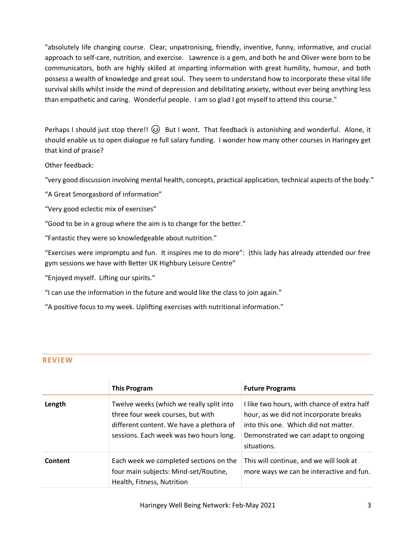"absolutely life changing course. Clear, unpatronising, friendly, inventive, funny, informative, and crucial approach to self-care, nutrition, and exercise. Lawrence is a gem, and both he and Oliver were born to be communicators, both are highly skilled at imparting information with great humility, humour, and both possess a wealth of knowledge and great soul. They seem to understand how to incorporate these vital life survival skills whilst inside the mind of depression and debilitating anxiety, without ever being anything less than empathetic and caring. Wonderful people. I am so glad I got myself to attend this course."

Perhaps I should just stop there!!  $\circled{3}$  But I wont. That feedback is astonishing and wonderful. Alone, it should enable us to open dialogue re full salary funding. I wonder how many other courses in Haringey get that kind of praise?

Other feedback:

"very good discussion involving mental health, concepts, practical application, technical aspects of the body."

"A Great Smorgasbord of information"

"Very good eclectic mix of exercises"

"Good to be in a group where the aim is to change for the better."

"Fantastic they were so knowledgeable about nutrition."

"Exercises were impromptu and fun. It inspires me to do more": (this lady has already attended our free gym sessions we have with Better UK Highbury Leisure Centre"

"Enjoyed myself. Lifting our spirits."

"I can use the information in the future and would like the class to join again."

"A positive focus to my week. Uplifting exercises with nutritional information."

# **REVIEW**

|         | <b>This Program</b>                                                                                                                                                  | <b>Future Programs</b>                                                                                                                                                               |
|---------|----------------------------------------------------------------------------------------------------------------------------------------------------------------------|--------------------------------------------------------------------------------------------------------------------------------------------------------------------------------------|
| Length  | Twelve weeks (which we really split into<br>three four week courses, but with<br>different content. We have a plethora of<br>sessions. Each week was two hours long. | I like two hours, with chance of extra half<br>hour, as we did not incorporate breaks<br>into this one. Which did not matter.<br>Demonstrated we can adapt to ongoing<br>situations. |
| Content | Each week we completed sections on the<br>four main subjects: Mind-set/Routine,<br>Health, Fitness, Nutrition                                                        | This will continue, and we will look at<br>more ways we can be interactive and fun.                                                                                                  |